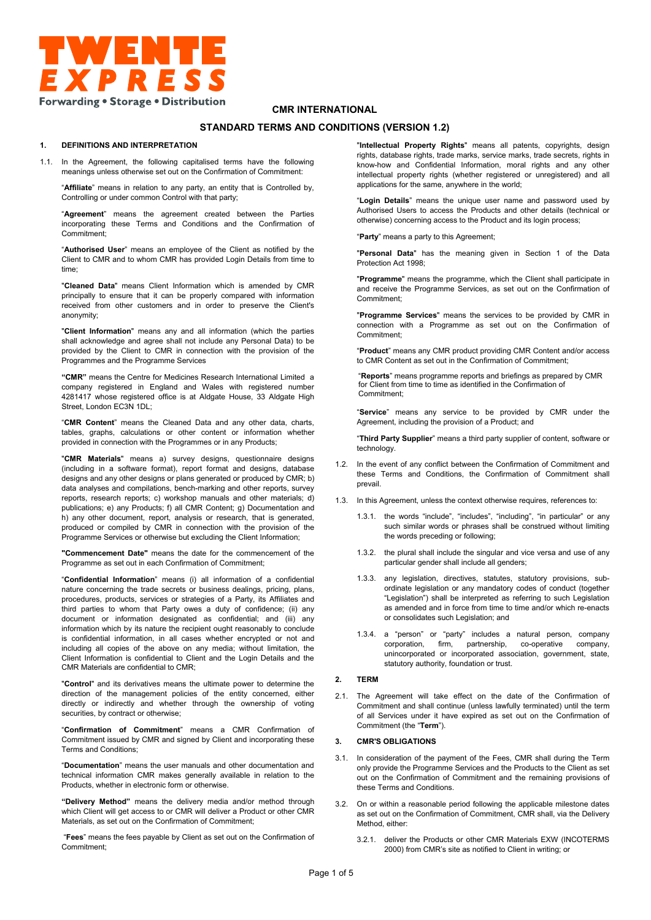

### **CMR INTERNATIONAL**

# **STANDARD TERMS AND CONDITIONS (VERSION 1.2)**

### **1. DEFINITIONS AND INTERPRETATION**

1.1. In the Agreement, the following capitalised terms have the following meanings unless otherwise set out on the Confirmation of Commitment:

"**Affiliate**" means in relation to any party, an entity that is Controlled by, Controlling or under common Control with that party;

"**Agreement**" means the agreement created between the Parties incorporating these Terms and Conditions and the Confirmation of Commitment;

"**Authorised User**" means an employee of the Client as notified by the Client to CMR and to whom CMR has provided Login Details from time to time;

"**Cleaned Data**" means Client Information which is amended by CMR principally to ensure that it can be properly compared with information received from other customers and in order to preserve the Client's anonymity;

"**Client Information**" means any and all information (which the parties shall acknowledge and agree shall not include any Personal Data) to be provided by the Client to CMR in connection with the provision of the Programmes and the Programme Services

**"CMR"** means the Centre for Medicines Research International Limited a company registered in England and Wales with registered number 4281417 whose registered office is at Aldgate House, 33 Aldgate High Street, London EC3N 1DL;

"**CMR Content**" means the Cleaned Data and any other data, charts, tables, graphs, calculations or other content or information whether provided in connection with the Programmes or in any Products;

"**CMR Materials**" means a) survey designs, questionnaire designs (including in a software format), report format and designs, database designs and any other designs or plans generated or produced by CMR; b) data analyses and compilations, bench-marking and other reports, survey reports, research reports; c) workshop manuals and other materials; d) publications; e) any Products; f) all CMR Content; g) Documentation and h) any other document, report, analysis or research, that is generated, produced or compiled by CMR in connection with the provision of the Programme Services or otherwise but excluding the Client Information;

**"Commencement Date"** means the date for the commencement of the Programme as set out in each Confirmation of Commitment;

"**Confidential Information**" means (i) all information of a confidential nature concerning the trade secrets or business dealings, pricing, plans, procedures, products, services or strategies of a Party, its Affiliates and third parties to whom that Party owes a duty of confidence; (ii) any document or information designated as confidential; and (iii) any information which by its nature the recipient ought reasonably to conclude is confidential information, in all cases whether encrypted or not and including all copies of the above on any media; without limitation, the Client Information is confidential to Client and the Login Details and the CMR Materials are confidential to CMR;

"**Control**" and its derivatives means the ultimate power to determine the direction of the management policies of the entity concerned, either directly or indirectly and whether through the ownership of voting securities, by contract or otherwise;

"**Confirmation of Commitment**" means a CMR Confirmation of Commitment issued by CMR and signed by Client and incorporating these Terms and Conditions;

"**Documentation**" means the user manuals and other documentation and technical information CMR makes generally available in relation to the Products, whether in electronic form or otherwise.

**"Delivery Method"** means the delivery media and/or method through which Client will get access to or CMR will deliver a Product or other CMR Materials, as set out on the Confirmation of Commitment;

 "**Fees**" means the fees payable by Client as set out on the Confirmation of Commitment;

"**Intellectual Property Rights**" means all patents, copyrights, design rights, database rights, trade marks, service marks, trade secrets, rights in know-how and Confidential Information, moral rights and any other intellectual property rights (whether registered or unregistered) and all applications for the same, anywhere in the world;

"**Login Details**" means the unique user name and password used by Authorised Users to access the Products and other details (technical or otherwise) concerning access to the Product and its login process;

"**Party**" means a party to this Agreement;

"**Personal Data**" has the meaning given in Section 1 of the Data Protection Act 1998;

"**Programme**" means the programme, which the Client shall participate in and receive the Programme Services, as set out on the Confirmation of Commitment;

"**Programme Services**" means the services to be provided by CMR in connection with a Programme as set out on the Confirmation of Commitment;

"**Product**" means any CMR product providing CMR Content and/or access to CMR Content as set out in the Confirmation of Commitment;

"**Reports**" means programme reports and briefings as prepared by CMR for Client from time to time as identified in the Confirmation of Commitment;

"**Service**" means any service to be provided by CMR under the Agreement, including the provision of a Product; and

"**Third Party Supplier**" means a third party supplier of content, software or technology.

- 1.2. In the event of any conflict between the Confirmation of Commitment and these Terms and Conditions, the Confirmation of Commitment shall prevail.
- 1.3. In this Agreement, unless the context otherwise requires, references to:
	- 1.3.1. the words "include", "includes", "including", "in particular" or any such similar words or phrases shall be construed without limiting the words preceding or following;
	- 1.3.2. the plural shall include the singular and vice versa and use of any particular gender shall include all genders;
	- 1.3.3. any legislation, directives, statutes, statutory provisions, subordinate legislation or any mandatory codes of conduct (together "Legislation") shall be interpreted as referring to such Legislation as amended and in force from time to time and/or which re-enacts or consolidates such Legislation; and
	- 1.3.4. a "person" or "party" includes a natural person, company corporation, firm, partnership, co-operative company, unincorporated or incorporated association, government, state, statutory authority, foundation or trust.

#### **2. TERM**

2.1. The Agreement will take effect on the date of the Confirmation of Commitment and shall continue (unless lawfully terminated) until the term of all Services under it have expired as set out on the Confirmation of Commitment (the "**Term**").

### **3. CMR'S OBLIGATIONS**

- 3.1. In consideration of the payment of the Fees, CMR shall during the Term only provide the Programme Services and the Products to the Client as set out on the Confirmation of Commitment and the remaining provisions of these Terms and Conditions.
- 3.2. On or within a reasonable period following the applicable milestone dates as set out on the Confirmation of Commitment, CMR shall, via the Delivery Method, either:
	- 3.2.1. deliver the Products or other CMR Materials EXW (INCOTERMS 2000) from CMR's site as notified to Client in writing; or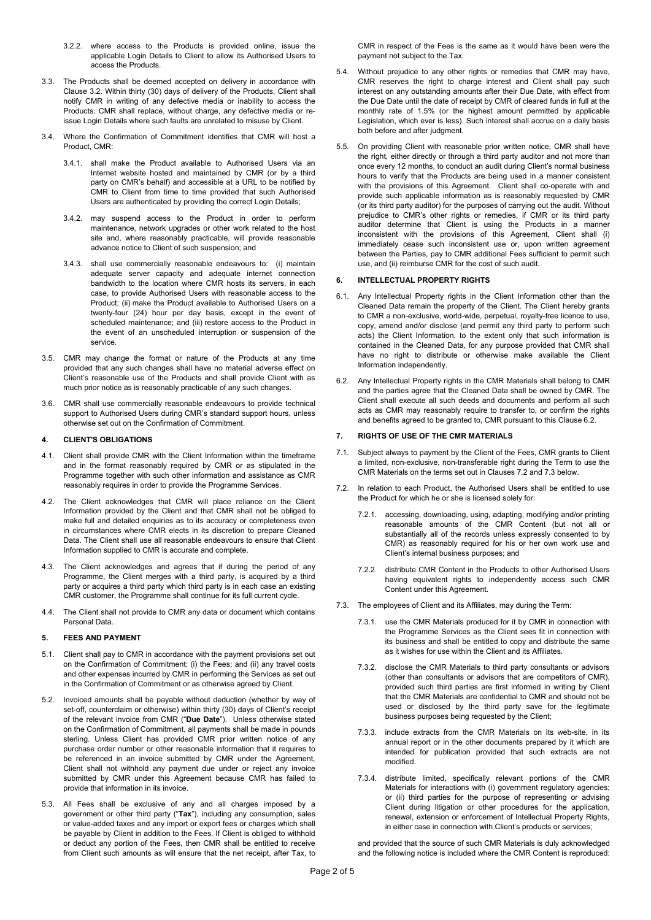- 3.2.2. where access to the Products is provided online, issue the applicable Login Details to Client to allow its Authorised Users to access the Products.
- 3.3. The Products shall be deemed accepted on delivery in accordance with Clause 3.2. Within thirty (30) days of delivery of the Products, Client shall notify CMR in writing of any defective media or inability to access the Products. CMR shall replace, without charge, any defective media or reissue Login Details where such faults are unrelated to misuse by Client.
- 3.4. Where the Confirmation of Commitment identifies that CMR will host a Product, CMR:
	- 3.4.1. shall make the Product available to Authorised Users via an Internet website hosted and maintained by CMR (or by a third party on CMR's behalf) and accessible at a URL to be notified by CMR to Client from time to time provided that such Authorised Users are authenticated by providing the correct Login Details;
	- 3.4.2. may suspend access to the Product in order to perform maintenance, network upgrades or other work related to the host site and, where reasonably practicable, will provide reasonable advance notice to Client of such suspension; and
	- 3.4.3. shall use commercially reasonable endeavours to: (i) maintain adequate server capacity and adequate internet connection bandwidth to the location where CMR hosts its servers, in each case, to provide Authorised Users with reasonable access to the Product; (ii) make the Product available to Authorised Users on a twenty-four (24) hour per day basis, except in the event of scheduled maintenance; and (iii) restore access to the Product in the event of an unscheduled interruption or suspension of the service.
- 3.5. CMR may change the format or nature of the Products at any time provided that any such changes shall have no material adverse effect on Client's reasonable use of the Products and shall provide Client with as much prior notice as is reasonably practicable of any such changes.
- 3.6. CMR shall use commercially reasonable endeavours to provide technical support to Authorised Users during CMR's standard support hours, unless otherwise set out on the Confirmation of Commitment.

# **4. CLIENT'S OBLIGATIONS**

- 4.1. Client shall provide CMR with the Client Information within the timeframe and in the format reasonably required by CMR or as stipulated in the Programme together with such other information and assistance as CMR reasonably requires in order to provide the Programme Services.
- 4.2. The Client acknowledges that CMR will place reliance on the Client Information provided by the Client and that CMR shall not be obliged to make full and detailed enquiries as to its accuracy or completeness even in circumstances where CMR elects in its discretion to prepare Cleaned Data. The Client shall use all reasonable endeavours to ensure that Client Information supplied to CMR is accurate and complete.
- 4.3. The Client acknowledges and agrees that if during the period of any Programme, the Client merges with a third party, is acquired by a third party or acquires a third party which third party is in each case an existing CMR customer, the Programme shall continue for its full current cycle.
- 4.4. The Client shall not provide to CMR any data or document which contains Personal Data.

### **5. FEES AND PAYMENT**

- 5.1. Client shall pay to CMR in accordance with the payment provisions set out on the Confirmation of Commitment: (i) the Fees; and (ii) any travel costs and other expenses incurred by CMR in performing the Services as set out in the Confirmation of Commitment or as otherwise agreed by Client.
- 5.2. Invoiced amounts shall be payable without deduction (whether by way of set-off, counterclaim or otherwise) within thirty (30) days of Client's receipt of the relevant invoice from CMR ("**Due Date**"). Unless otherwise stated on the Confirmation of Commitment, all payments shall be made in pounds sterling. Unless Client has provided CMR prior written notice of any purchase order number or other reasonable information that it requires to be referenced in an invoice submitted by CMR under the Agreement, Client shall not withhold any payment due under or reject any invoice submitted by CMR under this Agreement because CMR has failed to provide that information in its invoice.
- 5.3. All Fees shall be exclusive of any and all charges imposed by a government or other third party ("**Tax**"), including any consumption, sales or value-added taxes and any import or export fees or charges which shall be payable by Client in addition to the Fees. If Client is obliged to withhold or deduct any portion of the Fees, then CMR shall be entitled to receive from Client such amounts as will ensure that the net receipt, after Tax, to

CMR in respect of the Fees is the same as it would have been were the payment not subject to the Tax.

- 5.4. Without prejudice to any other rights or remedies that CMR may have, CMR reserves the right to charge interest and Client shall pay such interest on any outstanding amounts after their Due Date, with effect from the Due Date until the date of receipt by CMR of cleared funds in full at the monthly rate of 1.5% (or the highest amount permitted by applicable Legislation, which ever is less). Such interest shall accrue on a daily basis both before and after judgment.
- 5.5. On providing Client with reasonable prior written notice, CMR shall have the right, either directly or through a third party auditor and not more than once every 12 months, to conduct an audit during Client's normal business hours to verify that the Products are being used in a manner consistent with the provisions of this Agreement. Client shall co-operate with and provide such applicable information as is reasonably requested by CMR (or its third party auditor) for the purposes of carrying out the audit. Without prejudice to CMR's other rights or remedies, if CMR or its third party auditor determine that Client is using the Products in a manner inconsistent with the provisions of this Agreement, Client shall (i) immediately cease such inconsistent use or, upon written agreement between the Parties, pay to CMR additional Fees sufficient to permit such use, and (ii) reimburse CMR for the cost of such audit.

### **6. INTELLECTUAL PROPERTY RIGHTS**

- 6.1. Any Intellectual Property rights in the Client Information other than the Cleaned Data remain the property of the Client. The Client hereby grants to CMR a non-exclusive, world-wide, perpetual, royalty-free licence to use, copy, amend and/or disclose (and permit any third party to perform such acts) the Client Information, to the extent only that such information is contained in the Cleaned Data, for any purpose provided that CMR shall have no right to distribute or otherwise make available the Client Information independently.
- 6.2. Any Intellectual Property rights in the CMR Materials shall belong to CMR and the parties agree that the Cleaned Data shall be owned by CMR. The Client shall execute all such deeds and documents and perform all such acts as CMR may reasonably require to transfer to, or confirm the rights and benefits agreed to be granted to, CMR pursuant to this Clause 6.2.

# **7. RIGHTS OF USE OF THE CMR MATERIALS**

- 7.1. Subject always to payment by the Client of the Fees, CMR grants to Client a limited, non-exclusive, non-transferable right during the Term to use the CMR Materials on the terms set out in Clauses 7.2 and 7.3 below.
- 7.2. In relation to each Product, the Authorised Users shall be entitled to use the Product for which he or she is licensed solely for:
	- 7.2.1. accessing, downloading, using, adapting, modifying and/or printing reasonable amounts of the CMR Content (but not all or substantially all of the records unless expressly consented to by CMR) as reasonably required for his or her own work use and Client's internal business purposes; and
	- 7.2.2. distribute CMR Content in the Products to other Authorised Users having equivalent rights to independently access such CMR Content under this Agreement.
- 7.3. The employees of Client and its Affiliates, may during the Term:
	- 7.3.1. use the CMR Materials produced for it by CMR in connection with the Programme Services as the Client sees fit in connection with its business and shall be entitled to copy and distribute the same as it wishes for use within the Client and its Affiliates.
	- 7.3.2. disclose the CMR Materials to third party consultants or advisors (other than consultants or advisors that are competitors of CMR), provided such third parties are first informed in writing by Client that the CMR Materials are confidential to CMR and should not be used or disclosed by the third party save for the legitimate business purposes being requested by the Client;
	- 7.3.3. include extracts from the CMR Materials on its web-site, in its annual report or in the other documents prepared by it which are intended for publication provided that such extracts are not modified.
	- 7.3.4. distribute limited, specifically relevant portions of the CMR Materials for interactions with (i) government regulatory agencies; or (ii) third parties for the purpose of representing or advising Client during litigation or other procedures for the application, renewal, extension or enforcement of Intellectual Property Rights, in either case in connection with Client's products or services;

and provided that the source of such CMR Materials is duly acknowledged and the following notice is included where the CMR Content is reproduced: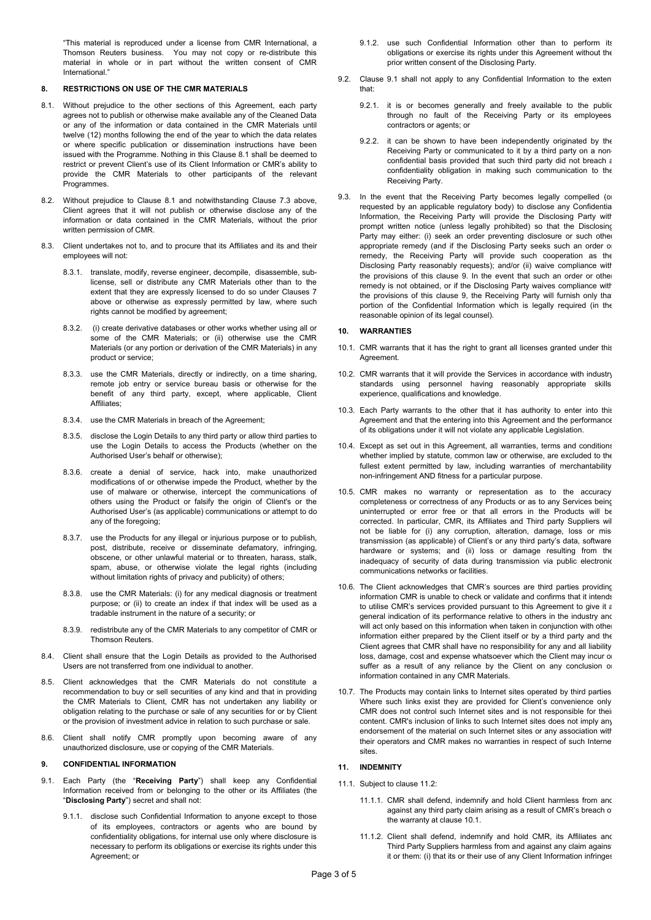"This material is reproduced under a license from CMR International, a Thomson Reuters business. You may not copy or re-distribute this material in whole or in part without the written consent of CMR International<sup>'</sup>

## **8. RESTRICTIONS ON USE OF THE CMR MATERIALS**

- 8.1. Without prejudice to the other sections of this Agreement, each party agrees not to publish or otherwise make available any of the Cleaned Data or any of the information or data contained in the CMR Materials until twelve (12) months following the end of the year to which the data relates or where specific publication or dissemination instructions have been issued with the Programme. Nothing in this Clause 8.1 shall be deemed to restrict or prevent Client's use of its Client Information or CMR's ability to provide the CMR Materials to other participants of the relevant Programmes.
- 8.2. Without prejudice to Clause 8.1 and notwithstanding Clause 7.3 above, Client agrees that it will not publish or otherwise disclose any of the information or data contained in the CMR Materials, without the prior written permission of CMR.
- 8.3. Client undertakes not to, and to procure that its Affiliates and its and their employees will not:
	- 8.3.1. translate, modify, reverse engineer, decompile, disassemble, sublicense, sell or distribute any CMR Materials other than to the extent that they are expressly licensed to do so under Clauses 7 above or otherwise as expressly permitted by law, where such rights cannot be modified by agreement;
	- 8.3.2. (i) create derivative databases or other works whether using all or some of the CMR Materials; or (ii) otherwise use the CMR Materials (or any portion or derivation of the CMR Materials) in any product or service;
	- 8.3.3. use the CMR Materials, directly or indirectly, on a time sharing, remote job entry or service bureau basis or otherwise for the benefit of any third party, except, where applicable, Client Affiliates;
	- 8.3.4. use the CMR Materials in breach of the Agreement;
	- 8.3.5. disclose the Login Details to any third party or allow third parties to use the Login Details to access the Products (whether on the Authorised User's behalf or otherwise);
	- 8.3.6. create a denial of service, hack into, make unauthorized modifications of or otherwise impede the Product, whether by the use of malware or otherwise, intercept the communications of others using the Product or falsify the origin of Client's or the Authorised User's (as applicable) communications or attempt to do any of the foregoing;
	- 8.3.7. use the Products for any illegal or injurious purpose or to publish, post, distribute, receive or disseminate defamatory, infringing, obscene, or other unlawful material or to threaten, harass, stalk, spam, abuse, or otherwise violate the legal rights (including without limitation rights of privacy and publicity) of others;
	- 8.3.8. use the CMR Materials: (i) for any medical diagnosis or treatment purpose; or (ii) to create an index if that index will be used as a tradable instrument in the nature of a security; or
	- 8.3.9. redistribute any of the CMR Materials to any competitor of CMR or Thomson Reuters.
- 8.4. Client shall ensure that the Login Details as provided to the Authorised Users are not transferred from one individual to another.
- 8.5. Client acknowledges that the CMR Materials do not constitute a recommendation to buy or sell securities of any kind and that in providing the CMR Materials to Client, CMR has not undertaken any liability or obligation relating to the purchase or sale of any securities for or by Client or the provision of investment advice in relation to such purchase or sale.
- 8.6. Client shall notify CMR promptly upon becoming aware of any unauthorized disclosure, use or copying of the CMR Materials.

# **9. CONFIDENTIAL INFORMATION**

- 9.1. Each Party (the "**Receiving Party**") shall keep any Confidential Information received from or belonging to the other or its Affiliates (the "**Disclosing Party**") secret and shall not:
	- 9.1.1. disclose such Confidential Information to anyone except to those of its employees, contractors or agents who are bound by confidentiality obligations, for internal use only where disclosure is necessary to perform its obligations or exercise its rights under this Agreement; or
- 9.1.2. use such Confidential Information other than to perform its obligations or exercise its rights under this Agreement without the prior written consent of the Disclosing Party.
- 9.2. Clause 9.1 shall not apply to any Confidential Information to the exten that:
	- 9.2.1. it is or becomes generally and freely available to the public through no fault of the Receiving Party or its employees contractors or agents; or
	- 9.2.2. it can be shown to have been independently originated by the Receiving Party or communicated to it by a third party on a nonconfidential basis provided that such third party did not breach a confidentiality obligation in making such communication to the Receiving Party.
- 9.3. In the event that the Receiving Party becomes legally compelled (or requested by an applicable regulatory body) to disclose any Confidential Information, the Receiving Party will provide the Disclosing Party with prompt written notice (unless legally prohibited) so that the Disclosing Party may either: (i) seek an order preventing disclosure or such other appropriate remedy (and if the Disclosing Party seeks such an order or remedy, the Receiving Party will provide such cooperation as the Disclosing Party reasonably requests); and/or (ii) waive compliance with the provisions of this clause 9. In the event that such an order or other remedy is not obtained, or if the Disclosing Party waives compliance with the provisions of this clause 9, the Receiving Party will furnish only that portion of the Confidential Information which is legally required (in the reasonable opinion of its legal counsel).

## **10. WARRANTIES**

- 10.1. CMR warrants that it has the right to grant all licenses granted under this Agreement.
- 10.2. CMR warrants that it will provide the Services in accordance with industry standards using personnel having reasonably appropriate skills experience, qualifications and knowledge.
- 10.3. Each Party warrants to the other that it has authority to enter into this Agreement and that the entering into this Agreement and the performance of its obligations under it will not violate any applicable Legislation.
- 10.4. Except as set out in this Agreement, all warranties, terms and conditions whether implied by statute, common law or otherwise, are excluded to the fullest extent permitted by law, including warranties of merchantability non-infringement AND fitness for a particular purpose.
- 10.5. CMR makes no warranty or representation as to the accuracy, completeness or correctness of any Products or as to any Services being uninterrupted or error free or that all errors in the Products will be corrected. In particular, CMR, its Affiliates and Third party Suppliers will not be liable for (i) any corruption, alteration, damage, loss or mistransmission (as applicable) of Client's or any third party's data, software hardware or systems; and (ii) loss or damage resulting from the inadequacy of security of data during transmission via public electronic communications networks or facilities.
- 10.6. The Client acknowledges that CMR's sources are third parties providing information CMR is unable to check or validate and confirms that it intends to utilise CMR's services provided pursuant to this Agreement to give it  $\varepsilon$ general indication of its performance relative to others in the industry and will act only based on this information when taken in conjunction with other information either prepared by the Client itself or by a third party and the Client agrees that CMR shall have no responsibility for any and all liability, loss, damage, cost and expense whatsoever which the Client may incur or suffer as a result of any reliance by the Client on any conclusion or information contained in any CMR Materials.
- 10.7. The Products may contain links to Internet sites operated by third parties. Where such links exist they are provided for Client's convenience only. CMR does not control such Internet sites and is not responsible for their content. CMR's inclusion of links to such Internet sites does not imply any endorsement of the material on such Internet sites or any association with their operators and CMR makes no warranties in respect of such Interne sites.

#### **11. INDEMNITY**

- 11.1. Subject to clause 11.2:
	- 11.1.1. CMR shall defend, indemnify and hold Client harmless from and against any third party claim arising as a result of CMR's breach of the warranty at clause 10.1.
	- 11.1.2. Client shall defend, indemnify and hold CMR, its Affiliates and Third Party Suppliers harmless from and against any claim agains it or them: (i) that its or their use of any Client Information infringes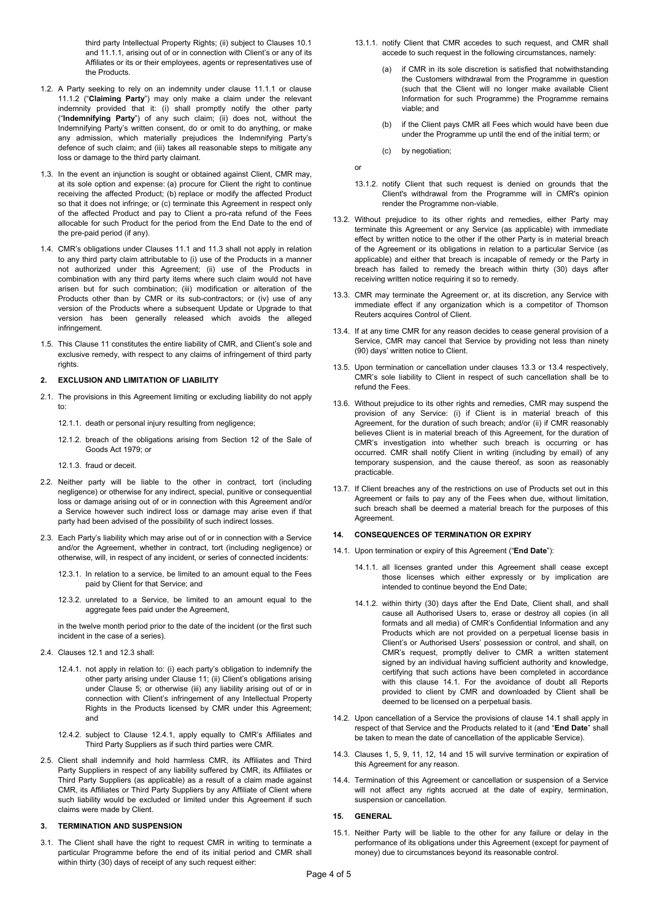third party Intellectual Property Rights; (ii) subject to Clauses 10.1 and 11.1.1, arising out of or in connection with Client's or any of its Affiliates or its or their employees, agents or representatives use of the Products.

- 1.2. A Party seeking to rely on an indemnity under clause 11.1.1 or clause 11.1.2 ("**Claiming Party**") may only make a claim under the relevant indemnity provided that it: (i) shall promptly notify the other party ("**Indemnifying Party**") of any such claim; (ii) does not, without the Indemnifying Party's written consent, do or omit to do anything, or make any admission, which materially prejudices the Indemnifying Party's defence of such claim; and (iii) takes all reasonable steps to mitigate any loss or damage to the third party claimant.
- 11.3. In the event an injunction is sought or obtained against Client, CMR may, at its sole option and expense: (a) procure for Client the right to continue receiving the affected Product; (b) replace or modify the affected Product so that it does not infringe; or (c) terminate this Agreement in respect only of the affected Product and pay to Client a pro-rata refund of the Fees allocable for such Product for the period from the End Date to the end of the pre-paid period (if any).
- 11.4. CMR's obligations under Clauses 11.1 and 11.3 shall not apply in relation to any third party claim attributable to (i) use of the Products in a manner not authorized under this Agreement; (ii) use of the Products in combination with any third party items where such claim would not have arisen but for such combination; (iii) modification or alteration of the Products other than by CMR or its sub-contractors; or (iv) use of any version of the Products where a subsequent Update or Upgrade to that version has been generally released which avoids the alleged infringement.
- 11.5. This Clause 11 constitutes the entire liability of CMR, and Client's sole and exclusive remedy, with respect to any claims of infringement of third party rights.

### **12. EXCLUSION AND LIMITATION OF LIABILITY**

- 12.1. The provisions in this Agreement limiting or excluding liability do not apply to:
	- 12.1.1. death or personal injury resulting from negligence;
	- 12.1.2. breach of the obligations arising from Section 12 of the Sale of Goods Act 1979; or
	- 12.1.3. fraud or deceit.
- 12.2. Neither party will be liable to the other in contract, tort (including negligence) or otherwise for any indirect, special, punitive or consequential loss or damage arising out of or in connection with this Agreement and/or a Service however such indirect loss or damage may arise even if that party had been advised of the possibility of such indirect losses.
- 12.3. Each Party's liability which may arise out of or in connection with a Service and/or the Agreement, whether in contract, tort (including negligence) or otherwise, will, in respect of any incident, or series of connected incidents:
	- 12.3.1. In relation to a service, be limited to an amount equal to the Fees paid by Client for that Service; and
	- 12.3.2. unrelated to a Service, be limited to an amount equal to the aggregate fees paid under the Agreement,

in the twelve month period prior to the date of the incident (or the first such incident in the case of a series).

- 12.4. Clauses 12.1 and 12.3 shall:
	- 12.4.1. not apply in relation to: (i) each party's obligation to indemnify the other party arising under Clause 11; (ii) Client's obligations arising under Clause 5; or otherwise (iii) any liability arising out of or in connection with Client's infringement of any Intellectual Property Rights in the Products licensed by CMR under this Agreement; and
	- 12.4.2. subject to Clause 12.4.1, apply equally to CMR's Affiliates and Third Party Suppliers as if such third parties were CMR.
- 12.5. Client shall indemnify and hold harmless CMR, its Affiliates and Third Party Suppliers in respect of any liability suffered by CMR, its Affiliates or Third Party Suppliers (as applicable) as a result of a claim made against CMR, its Affiliates or Third Party Suppliers by any Affiliate of Client where such liability would be excluded or limited under this Agreement if such claims were made by Client.

#### **13. TERMINATION AND SUSPENSION**

13.1. The Client shall have the right to request CMR in writing to terminate a particular Programme before the end of its initial period and CMR shall within thirty (30) days of receipt of any such request either:

- 13.1.1. notify Client that CMR accedes to such request, and CMR shall accede to such request in the following circumstances, namely:
	- if CMR in its sole discretion is satisfied that notwithstanding the Customers withdrawal from the Programme in question (such that the Client will no longer make available Client Information for such Programme) the Programme remains viable; and
	- (b) if the Client pays CMR all Fees which would have been due under the Programme up until the end of the initial term; or
	- (c) by negotiation;

or

- 13.1.2. notify Client that such request is denied on grounds that the Client's withdrawal from the Programme will in CMR's opinion render the Programme non-viable.
- 13.2. Without prejudice to its other rights and remedies, either Party may terminate this Agreement or any Service (as applicable) with immediate effect by written notice to the other if the other Party is in material breach of the Agreement or its obligations in relation to a particular Service (as applicable) and either that breach is incapable of remedy or the Party in breach has failed to remedy the breach within thirty (30) days after receiving written notice requiring it so to remedy.
- 13.3. CMR may terminate the Agreement or, at its discretion, any Service with immediate effect if any organization which is a competitor of Thomson Reuters acquires Control of Client.
- 13.4. If at any time CMR for any reason decides to cease general provision of a Service, CMR may cancel that Service by providing not less than ninety (90) days' written notice to Client.
- 13.5. Upon termination or cancellation under clauses 13.3 or 13.4 respectively, CMR's sole liability to Client in respect of such cancellation shall be to refund the Fees.
- 13.6. Without prejudice to its other rights and remedies, CMR may suspend the provision of any Service: (i) if Client is in material breach of this Agreement, for the duration of such breach; and/or (ii) if CMR reasonably believes Client is in material breach of this Agreement, for the duration of CMR's investigation into whether such breach is occurring or has occurred. CMR shall notify Client in writing (including by email) of any temporary suspension, and the cause thereof, as soon as reasonably practicable.
- 13.7. If Client breaches any of the restrictions on use of Products set out in this Agreement or fails to pay any of the Fees when due, without limitation, such breach shall be deemed a material breach for the purposes of this Agreement.

# **14. CONSEQUENCES OF TERMINATION OR EXPIRY**

- 14.1. Upon termination or expiry of this Agreement ("**End Date**"):
	- 14.1.1. all licenses granted under this Agreement shall cease except those licenses which either expressly or by implication are intended to continue beyond the End Date;
	- 14.1.2. within thirty (30) days after the End Date, Client shall, and shall cause all Authorised Users to, erase or destroy all copies (in all formats and all media) of CMR's Confidential Information and any Products which are not provided on a perpetual license basis in Client's or Authorised Users' possession or control, and shall, on CMR's request, promptly deliver to CMR a written statement signed by an individual having sufficient authority and knowledge, certifying that such actions have been completed in accordance with this clause 14.1. For the avoidance of doubt all Reports provided to client by CMR and downloaded by Client shall be deemed to be licensed on a perpetual basis.
- 14.2. Upon cancellation of a Service the provisions of clause 14.1 shall apply in respect of that Service and the Products related to it (and "**End Date**" shall be taken to mean the date of cancellation of the applicable Service).
- 14.3. Clauses 1, 5, 9, 11, 12, 14 and 15 will survive termination or expiration of this Agreement for any reason.
- 14.4. Termination of this Agreement or cancellation or suspension of a Service will not affect any rights accrued at the date of expiry, termination, suspension or cancellation.

### **15. GENERAL**

15.1. Neither Party will be liable to the other for any failure or delay in the performance of its obligations under this Agreement (except for payment of money) due to circumstances beyond its reasonable control.